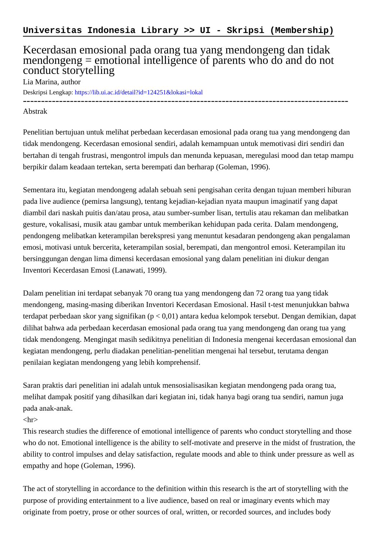## Kecerdasan emosional pada orang tua yang mendongeng dan tidak mendongeng = emotional intelligence of parents who do and do not conduct storytelling

Lia Marina, author

Deskripsi Lengkap:<https://lib.ui.ac.id/detail?id=124251&lokasi=lokal>

## ------------------------------------------------------------------------------------------ Abstrak

Penelitian bertujuan untuk melihat perbedaan kecerdasan emosional pada orang tua yang mendongeng dan tidak mendongeng. Kecerdasan emosional sendiri, adalah kemampuan untuk memotivasi diri sendiri dan bertahan di tengah frustrasi, mengontrol impuls dan menunda kepuasan, meregulasi mood dan tetap mampu berpikir dalam keadaan tertekan, serta berempati dan berharap (Goleman, 1996).

Sementara itu, kegiatan mendongeng adalah sebuah seni pengisahan cerita dengan tujuan memberi hiburan pada live audience (pemirsa langsung), tentang kejadian-kejadian nyata maupun imaginatif yang dapat diambil dari naskah puitis dan/atau prosa, atau sumber-sumber lisan, tertulis atau rekaman dan melibatkan gesture, vokalisasi, musik atau gambar untuk memberikan kehidupan pada cerita. Dalam mendongeng, pendongeng melibatkan keterampilan berekspresi yang menuntut kesadaran pendongeng akan pengalaman emosi, motivasi untuk bercerita, keterampilan sosial, berempati, dan mengontrol emosi. Keterampilan itu bersinggungan dengan lima dimensi kecerdasan emosional yang dalam penelitian ini diukur dengan Inventori Kecerdasan Emosi (Lanawati, 1999).

Dalam penelitian ini terdapat sebanyak 70 orang tua yang mendongeng dan 72 orang tua yang tidak mendongeng, masing-masing diberikan Inventori Kecerdasan Emosional. Hasil t-test menunjukkan bahwa terdapat perbedaan skor yang signifikan (p < 0,01) antara kedua kelompok tersebut. Dengan demikian, dapat dilihat bahwa ada perbedaan kecerdasan emosional pada orang tua yang mendongeng dan orang tua yang tidak mendongeng. Mengingat masih sedikitnya penelitian di Indonesia mengenai kecerdasan emosional dan kegiatan mendongeng, perlu diadakan penelitian-penelitian mengenai hal tersebut, terutama dengan penilaian kegiatan mendongeng yang lebih komprehensif.

Saran praktis dari penelitian ini adalah untuk mensosialisasikan kegiatan mendongeng pada orang tua, melihat dampak positif yang dihasilkan dari kegiatan ini, tidak hanya bagi orang tua sendiri, namun juga pada anak-anak.

## $\langle$ hr $>$

This research studies the difference of emotional intelligence of parents who conduct storytelling and those who do not. Emotional intelligence is the ability to self-motivate and preserve in the midst of frustration, the ability to control impulses and delay satisfaction, regulate moods and able to think under pressure as well as empathy and hope (Goleman, 1996).

The act of storytelling in accordance to the definition within this research is the art of storytelling with the purpose of providing entertainment to a live audience, based on real or imaginary events which may originate from poetry, prose or other sources of oral, written, or recorded sources, and includes body